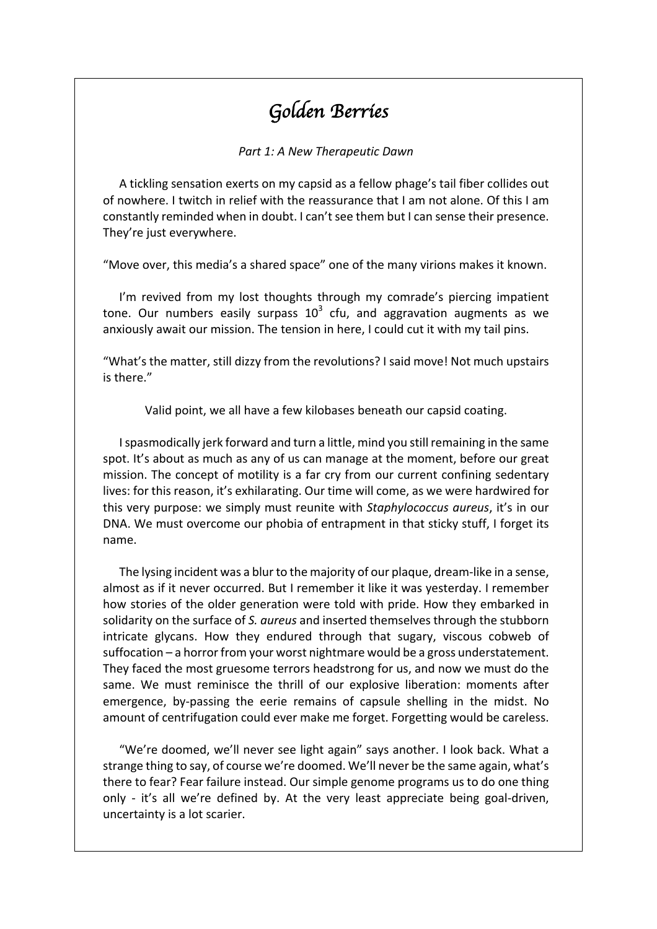# *Golden Berries*

**Part 1: A New Therapeutic Dawn** 

A tickling sensation exerts on my capsid as a fellow phage's tail fiber collides out of nowhere. I twitch in relief with the reassurance that I am not alone. Of this I am constantly reminded when in doubt. I can't see them but I can sense their presence. They're just everywhere.

"Move over, this media's a shared space" one of the many virions makes it known.

I'm revived from my lost thoughts through my comrade's piercing impatient tone. Our numbers easily surpass  $10^3$  cfu, and aggravation augments as we anxiously await our mission. The tension in here, I could cut it with my tail pins.

"What's the matter, still dizzy from the revolutions? I said move! Not much upstairs is there."

Valid point, we all have a few kilobases beneath our capsid coating.

I spasmodically jerk forward and turn a little, mind you still remaining in the same spot. It's about as much as any of us can manage at the moment, before our great mission. The concept of motility is a far cry from our current confining sedentary lives: for this reason, it's exhilarating. Our time will come, as we were hardwired for this very purpose: we simply must reunite with *Staphylococcus aureus*, it's in our DNA. We must overcome our phobia of entrapment in that sticky stuff, I forget its name. 

The lysing incident was a blur to the majority of our plaque, dream-like in a sense, almost as if it never occurred. But I remember it like it was yesterday. I remember how stories of the older generation were told with pride. How they embarked in solidarity on the surface of S. aureus and inserted themselves through the stubborn intricate glycans. How they endured through that sugary, viscous cobweb of suffocation – a horror from your worst nightmare would be a gross understatement. They faced the most gruesome terrors headstrong for us, and now we must do the same. We must reminisce the thrill of our explosive liberation: moments after emergence, by-passing the eerie remains of capsule shelling in the midst. No amount of centrifugation could ever make me forget. Forgetting would be careless.

"We're doomed, we'll never see light again" says another. I look back. What a strange thing to say, of course we're doomed. We'll never be the same again, what's there to fear? Fear failure instead. Our simple genome programs us to do one thing only - it's all we're defined by. At the very least appreciate being goal-driven, uncertainty is a lot scarier.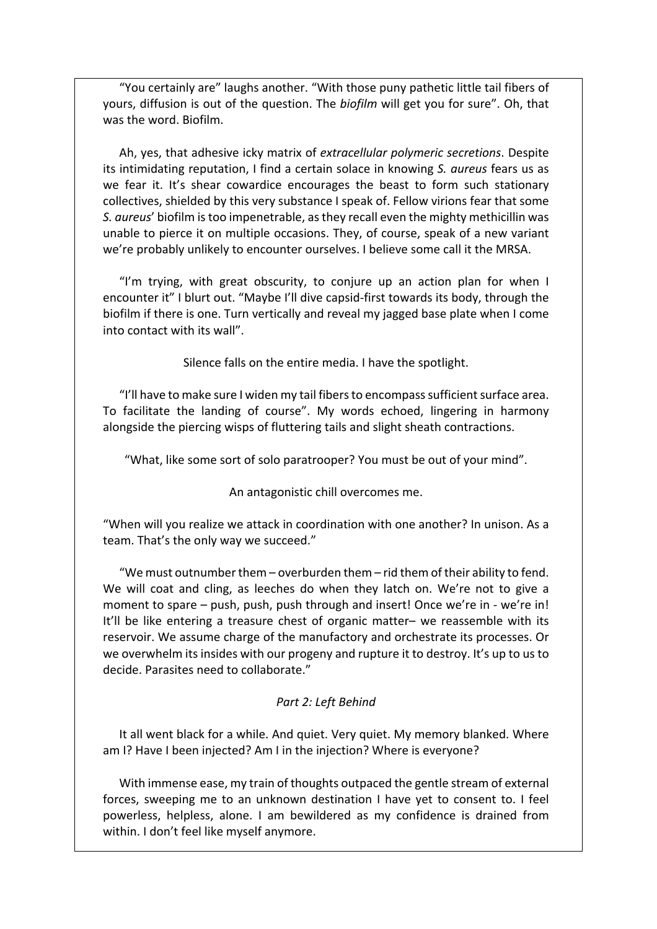"You certainly are" laughs another. "With those puny pathetic little tail fibers of yours, diffusion is out of the question. The *biofilm* will get you for sure". Oh, that was the word. Biofilm.

Ah, yes, that adhesive icky matrix of *extracellular polymeric secretions*. Despite its intimidating reputation, I find a certain solace in knowing S. *aureus* fears us as we fear it. It's shear cowardice encourages the beast to form such stationary collectives, shielded by this very substance I speak of. Fellow virions fear that some *S. aureus'* biofilm is too impenetrable, as they recall even the mighty methicillin was unable to pierce it on multiple occasions. They, of course, speak of a new variant we're probably unlikely to encounter ourselves. I believe some call it the MRSA.

"I'm trying, with great obscurity, to conjure up an action plan for when I encounter it" I blurt out. "Maybe I'll dive capsid-first towards its body, through the biofilm if there is one. Turn vertically and reveal my jagged base plate when I come into contact with its wall".

Silence falls on the entire media. I have the spotlight.

"I'll have to make sure I widen my tail fibers to encompass sufficient surface area. To facilitate the landing of course". My words echoed, lingering in harmony alongside the piercing wisps of fluttering tails and slight sheath contractions.

"What, like some sort of solo paratrooper? You must be out of your mind".

An antagonistic chill overcomes me.

"When will you realize we attack in coordination with one another? In unison. As a team. That's the only way we succeed."

"We must outnumber them – overburden them – rid them of their ability to fend. We will coat and cling, as leeches do when they latch on. We're not to give a moment to spare – push, push, push through and insert! Once we're in - we're in! It'll be like entering a treasure chest of organic matter– we reassemble with its reservoir. We assume charge of the manufactory and orchestrate its processes. Or we overwhelm its insides with our progeny and rupture it to destroy. It's up to us to decide. Parasites need to collaborate."

### *Part 2: Left Behind*

It all went black for a while. And quiet. Very quiet. My memory blanked. Where am I? Have I been injected? Am I in the injection? Where is everyone?

With immense ease, my train of thoughts outpaced the gentle stream of external forces, sweeping me to an unknown destination I have yet to consent to. I feel powerless, helpless, alone. I am bewildered as my confidence is drained from within. I don't feel like myself anymore.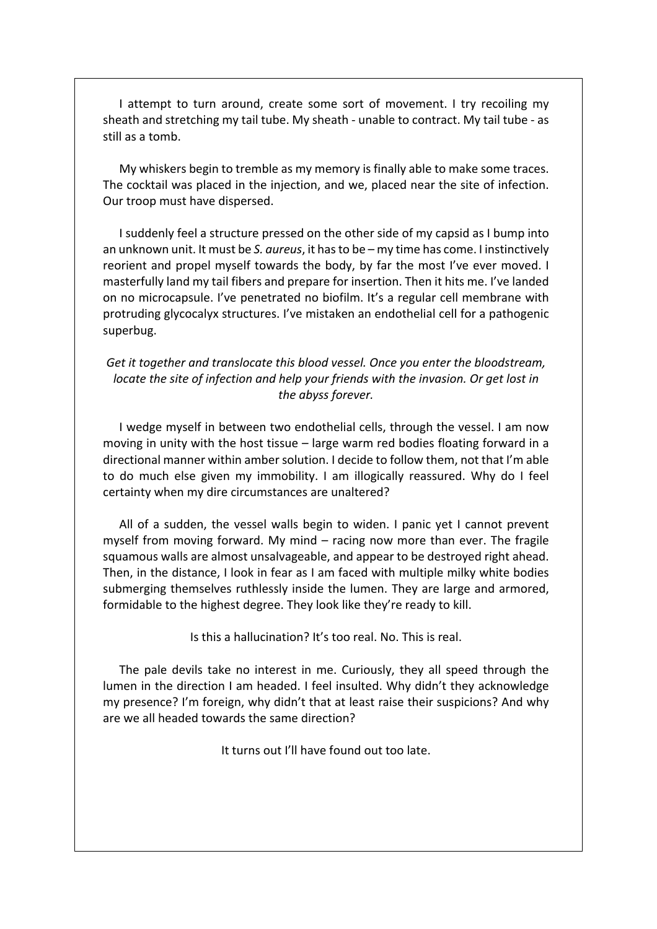I attempt to turn around, create some sort of movement. I try recoiling my sheath and stretching my tail tube. My sheath - unable to contract. My tail tube - as still as a tomb.

My whiskers begin to tremble as my memory is finally able to make some traces. The cocktail was placed in the injection, and we, placed near the site of infection. Our troop must have dispersed.

I suddenly feel a structure pressed on the other side of my capsid as I bump into an unknown unit. It must be *S. aureus*, it has to be – my time has come. I instinctively reorient and propel myself towards the body, by far the most I've ever moved. I masterfully land my tail fibers and prepare for insertion. Then it hits me. I've landed on no microcapsule. I've penetrated no biofilm. It's a regular cell membrane with protruding glycocalyx structures. I've mistaken an endothelial cell for a pathogenic superbug. 

Get it together and translocate this blood vessel. Once you enter the bloodstream, *locate the site of infection and help your friends with the invasion. Or get lost in the abyss forever.*

I wedge myself in between two endothelial cells, through the vessel. I am now moving in unity with the host tissue  $-$  large warm red bodies floating forward in a directional manner within amber solution. I decide to follow them, not that I'm able to do much else given my immobility. I am illogically reassured. Why do I feel certainty when my dire circumstances are unaltered?

All of a sudden, the vessel walls begin to widen. I panic yet I cannot prevent myself from moving forward. My mind  $-$  racing now more than ever. The fragile squamous walls are almost unsalvageable, and appear to be destroyed right ahead. Then, in the distance, I look in fear as I am faced with multiple milky white bodies submerging themselves ruthlessly inside the lumen. They are large and armored, formidable to the highest degree. They look like they're ready to kill.

Is this a hallucination? It's too real. No. This is real.

The pale devils take no interest in me. Curiously, they all speed through the lumen in the direction I am headed. I feel insulted. Why didn't they acknowledge my presence? I'm foreign, why didn't that at least raise their suspicions? And why are we all headed towards the same direction?

It turns out I'll have found out too late